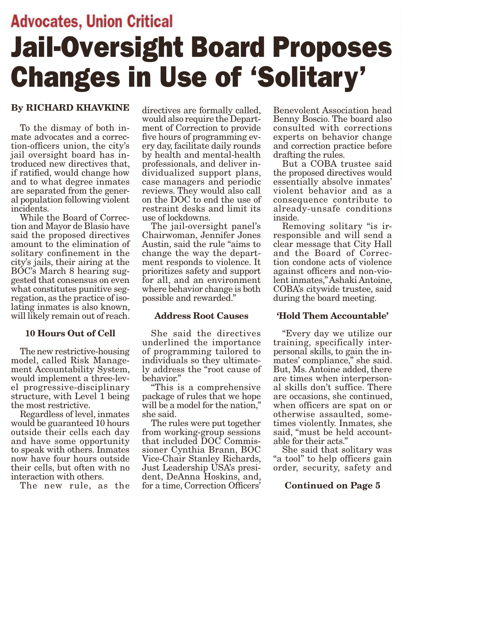## **Advocates, Union Critical** Jail-Oversight Board Proposes Changes in Use of 'Solitary'

#### By RICHARD KHAVKINE

To the dismay of both inmate advocates and a correction-officers union, the city's jail oversight board has introduced new directives that, if ratified, would change how and to what degree inmates are separated from the general population following violent incidents.

While the Board of Correction and Mayor de Blasio have said the proposed directives amount to the elimination of solitary confinement in the city's jails, their airing at the BOC's March 8 hearing suggested that consensus on even what constitutes punitive segregation, as the practice of isolating inmates is also known, will likely remain out of reach.

#### 10 Hours Out of Cell

The new restrictive-housing model, called Risk Management Accountability System, would implement a three-level progressive-disciplinary structure, with Level 1 being the most restrictive.

Regardless of level, inmates would be guaranteed 10 hours outside their cells each day and have some opportunity to speak with others. Inmates now have four hours outside their cells, but often with no interaction with others.

The new rule, as the

directives are formally called, would also require the Department of Correction to provide five hours of programming every day, facilitate daily rounds by health and mental-health professionals, and deliver individualized support plans, case managers and periodic reviews. They would also call on the DOC to end the use of restraint desks and limit its use of lockdowns.

The jail-oversight panel's Chairwoman, Jennifer Jones Austin, said the rule "aims to change the way the department responds to violence. It prioritizes safety and support for all, and an environment where behavior change is both possible and rewarded."

#### Address Root Causes

She said the directives underlined the importance of programming tailored to individuals so they ultimately address the "root cause of behavior."

"This is a comprehensive package of rules that we hope will be a model for the nation," she said.

The rules were put together from working-group sessions that included DOC Commissioner Cynthia Brann, BOC Vice-Chair Stanley Richards, Just Leadership USA's president, DeAnna Hoskins, and, for a time, Correction Officers'

Benevolent Association head Benny Boscio. The board also consulted with corrections experts on behavior change and correction practice before drafting the rules.

But a COBA trustee said the proposed directives would essentially absolve inmates' violent behavior and as a consequence contribute to already-unsafe conditions inside.

Removing solitary "is irresponsible and will send a clear message that City Hall and the Board of Correction condone acts of violence against officers and non-violent inmates," Ashaki Antoine, COBA's citywide trustee, said during the board meeting.

#### 'Hold Them Accountable'

"Every day we utilize our training, specifically interpersonal skills, to gain the inmates' compliance," she said. But, Ms. Antoine added, there are times when interpersonal skills don't suffice. There are occasions, she continued, when officers are spat on or otherwise assaulted, sometimes violently. Inmates, she said, "must be held accountable for their acts."

She said that solitary was "a tool" to help officers gain order, security, safety and

#### Continued on Page 5